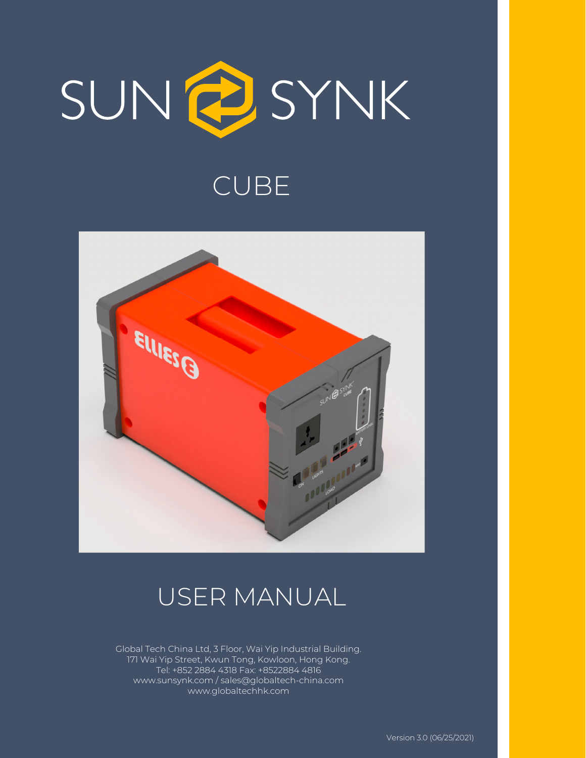

# CUBE



# USER MANUAL

Global Tech China Ltd, 3 Floor, Wai Yip Industrial Building. 171 Wai Yip Street, Kwun Tong, Kowloon, Hong Kong. Tel: +852 2884 4318 Fax: +8522884 4816 www.sunsynk.com / sales@globaltech-china.com www.globaltechhk.com

Version 3.0 (06/25/2021)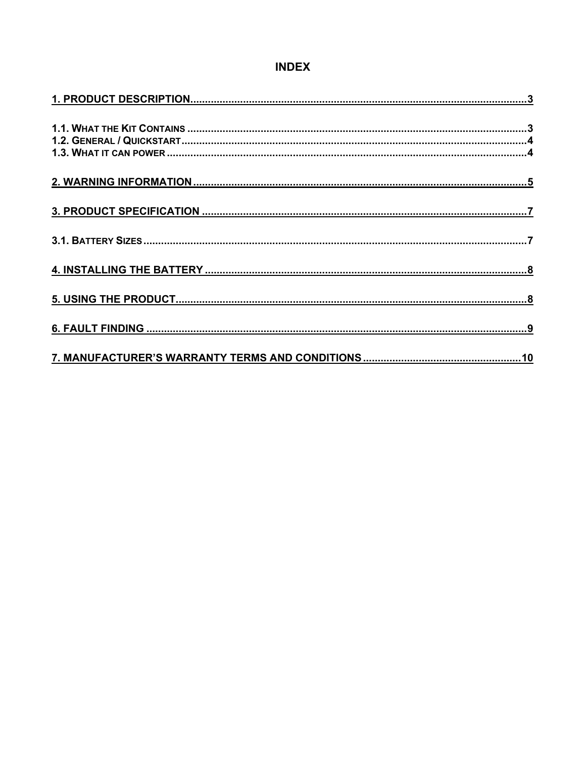## **INDEX**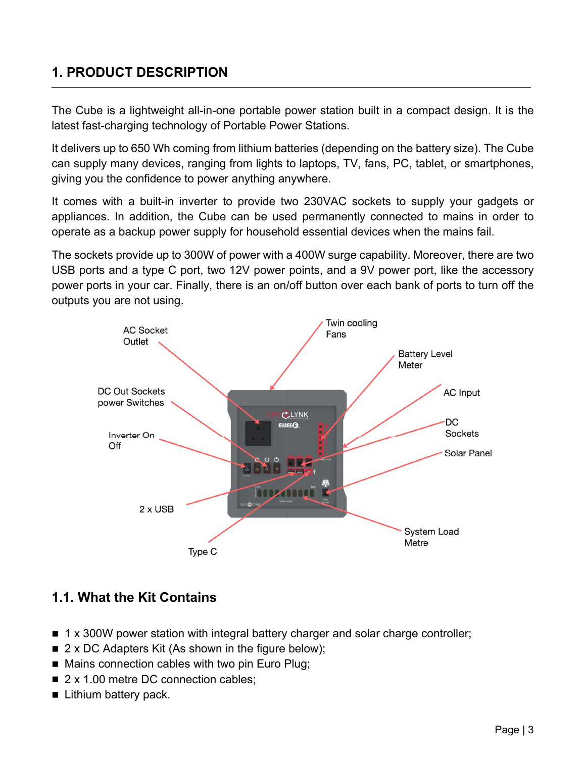## **1. PRODUCT DESCRIPTION**

The Cube is a lightweight all-in-one portable power station built in a compact design. It is the latest fast-charging technology of Portable Power Stations.

It delivers up to 650 Wh coming from lithium batteries (depending on the battery size). The Cube can supply many devices, ranging from lights to laptops, TV, fans, PC, tablet, or smartphones, giving you the confidence to power anything anywhere.

It comes with a built-in inverter to provide two 230VAC sockets to supply your gadgets or appliances. In addition, the Cube can be used permanently connected to mains in order to operate as a backup power supply for household essential devices when the mains fail.

The sockets provide up to 300W of power with a 400W surge capability. Moreover, there are two USB ports and a type C port, two 12V power points, and a 9V power port, like the accessory power ports in your car. Finally, there is an on/off button over each bank of ports to turn off the outputs you are not using.



## **1.1. What the Kit Contains**

- 1 x 300W power station with integral battery charger and solar charge controller;
- $\blacksquare$  2 x DC Adapters Kit (As shown in the figure below);
- Mains connection cables with two pin Euro Plug;
- 2 x 1.00 metre DC connection cables;
- **Lithium battery pack.**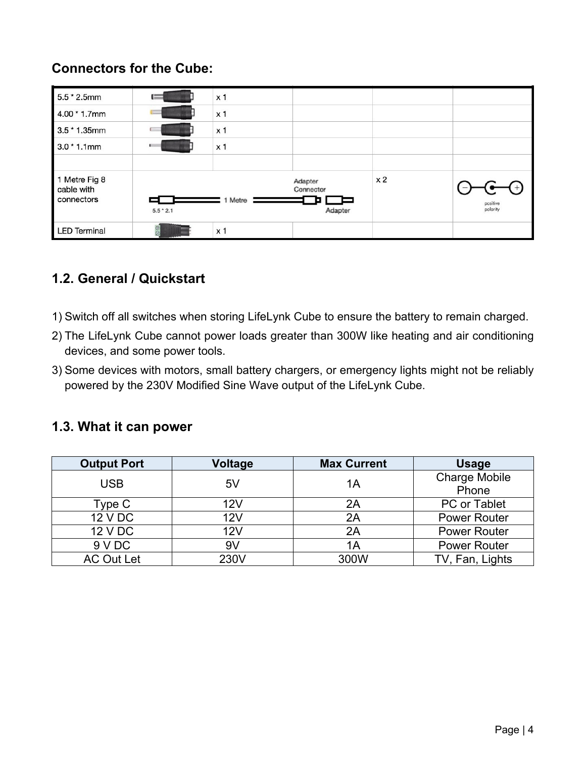## **Connectors for the Cube:**

| $5.5 * 2.5$ mm                            |             | x <sub>1</sub> |                                 |                |                      |
|-------------------------------------------|-------------|----------------|---------------------------------|----------------|----------------------|
| $4.00 * 1.7$ mm                           | $=$         | x <sub>1</sub> |                                 |                |                      |
| $3.5 * 1.35$ mm                           |             | x <sub>1</sub> |                                 |                |                      |
| $3.0 * 1.1$ mm                            |             | x <sub>1</sub> |                                 |                |                      |
|                                           |             |                |                                 |                |                      |
| 1 Metre Fig 8<br>cable with<br>connectors | $5.5 * 2.1$ | 1 Metre        | Adapter<br>Connector<br>Adapter | x <sub>2</sub> | positive<br>polarity |
| <b>LED Terminal</b>                       |             | x <sub>1</sub> |                                 |                |                      |

## **1.2. General / Quickstart**

- 1) Switch off all switches when storing LifeLynk Cube to ensure the battery to remain charged.
- 2) The LifeLynk Cube cannot power loads greater than 300W like heating and air conditioning devices, and some power tools.
- 3) Some devices with motors, small battery chargers, or emergency lights might not be reliably powered by the 230V Modified Sine Wave output of the LifeLynk Cube.

### **1.3. What it can power**

| <b>Output Port</b> | Voltage    | <b>Max Current</b> | <b>Usage</b>                  |
|--------------------|------------|--------------------|-------------------------------|
| <b>USB</b>         | 5V         | 1A                 | <b>Charge Mobile</b><br>Phone |
| Type C             | 12V        | 2A                 | <b>PC or Tablet</b>           |
| 12 V DC            | <b>12V</b> | 2A                 | <b>Power Router</b>           |
| 12 V DC            | 12V        | 2A                 | <b>Power Router</b>           |
| 9 V DC             | 9V         | 1Α                 | <b>Power Router</b>           |
| <b>AC Out Let</b>  | 230V       | 300W               | TV, Fan, Lights               |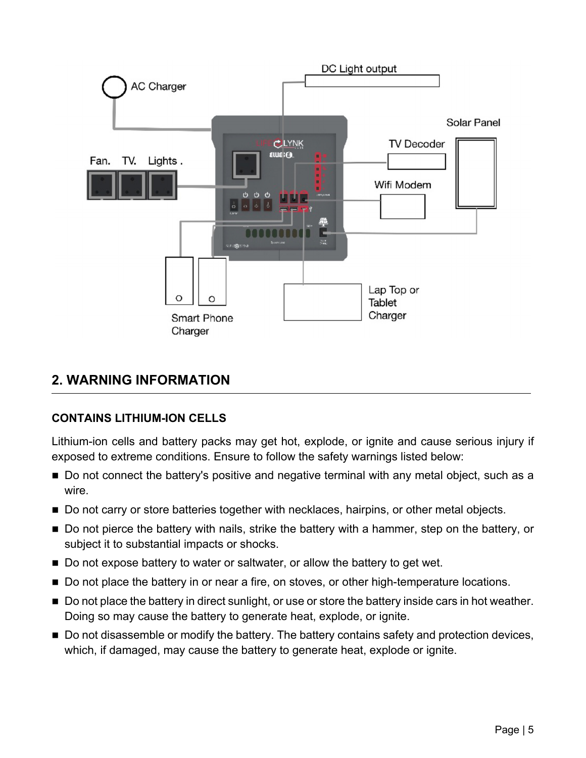

## **2. WARNING INFORMATION**

#### **CONTAINS LITHIUM-ION CELLS**

Lithium-ion cells and battery packs may get hot, explode, or ignite and cause serious injury if exposed to extreme conditions. Ensure to follow the safety warnings listed below:

- Do not connect the battery's positive and negative terminal with any metal object, such as a wire.
- Do not carry or store batteries together with necklaces, hairpins, or other metal objects.
- Do not pierce the battery with nails, strike the battery with a hammer, step on the battery, or subject it to substantial impacts or shocks.
- Do not expose battery to water or saltwater, or allow the battery to get wet.
- Do not place the battery in or near a fire, on stoves, or other high-temperature locations.
- Do not place the battery in direct sunlight, or use or store the battery inside cars in hot weather. Doing so may cause the battery to generate heat, explode, or ignite.
- Do not disassemble or modify the battery. The battery contains safety and protection devices, which, if damaged, may cause the battery to generate heat, explode or ignite.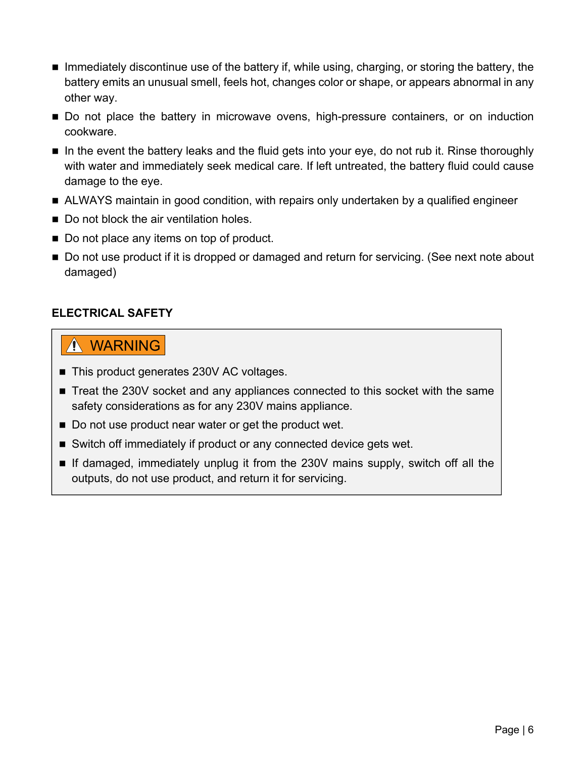- $\blacksquare$  Immediately discontinue use of the battery if, while using, charging, or storing the battery, the battery emits an unusual smell, feels hot, changes color or shape, or appears abnormal in any other way.
- **Do not place the battery in microwave ovens, high-pressure containers, or on induction** cookware.
- $\blacksquare$  In the event the battery leaks and the fluid gets into your eye, do not rub it. Rinse thoroughly with water and immediately seek medical care. If left untreated, the battery fluid could cause damage to the eye.
- ALWAYS maintain in good condition, with repairs only undertaken by a qualified engineer
- Do not block the air ventilation holes.
- Do not place any items on top of product.
- Do not use product if it is dropped or damaged and return for servicing. (See next note about damaged)

### **ELECTRICAL SAFETY**

## WARNING

- This product generates 230V AC voltages.
- Treat the 230V socket and any appliances connected to this socket with the same safety considerations as for any 230V mains appliance.
- Do not use product near water or get the product wet.
- Switch off immediately if product or any connected device gets wet.
- If damaged, immediately unplug it from the 230V mains supply, switch off all the outputs, do not use product, and return it for servicing.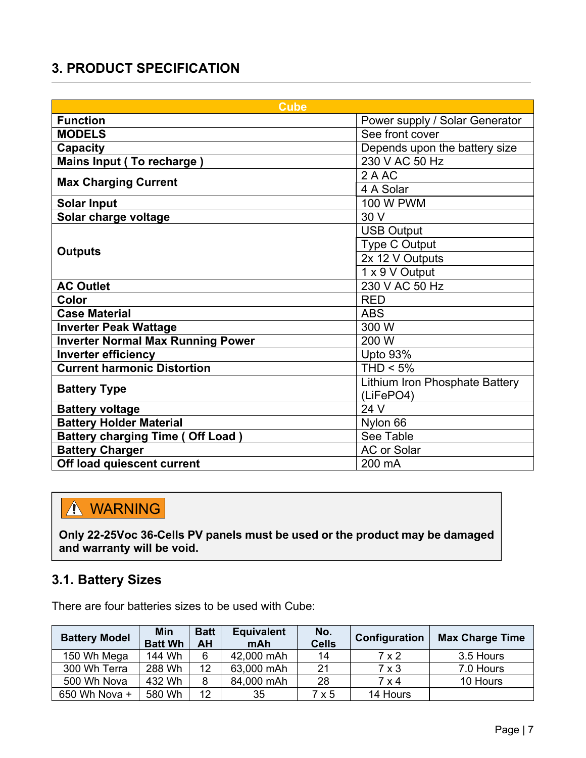# **3. PRODUCT SPECIFICATION**

| <b>Cube</b>                              |                                |  |  |
|------------------------------------------|--------------------------------|--|--|
| <b>Function</b>                          | Power supply / Solar Generator |  |  |
| <b>MODELS</b>                            | See front cover                |  |  |
| <b>Capacity</b>                          | Depends upon the battery size  |  |  |
| Mains Input (To recharge)                | 230 V AC 50 Hz                 |  |  |
| <b>Max Charging Current</b>              | 2 A AC                         |  |  |
|                                          | 4 A Solar                      |  |  |
| <b>Solar Input</b>                       | <b>100 W PWM</b>               |  |  |
| Solar charge voltage                     | 30 V                           |  |  |
|                                          | <b>USB Output</b>              |  |  |
|                                          | Type C Output                  |  |  |
| <b>Outputs</b>                           | 2x 12 V Outputs                |  |  |
|                                          | 1 x 9 V Output                 |  |  |
| <b>AC Outlet</b>                         | 230 V AC 50 Hz                 |  |  |
| Color                                    | <b>RED</b>                     |  |  |
| <b>Case Material</b>                     | <b>ABS</b>                     |  |  |
| <b>Inverter Peak Wattage</b>             | 300 W                          |  |  |
| <b>Inverter Normal Max Running Power</b> | 200 W                          |  |  |
| <b>Inverter efficiency</b>               | Upto 93%                       |  |  |
| <b>Current harmonic Distortion</b>       | $THD < 5\%$                    |  |  |
| <b>Battery Type</b>                      | Lithium Iron Phosphate Battery |  |  |
|                                          | (LiFePO4)                      |  |  |
| <b>Battery voltage</b>                   | 24 V                           |  |  |
| <b>Battery Holder Material</b>           | Nylon 66                       |  |  |
| <b>Battery charging Time (Off Load)</b>  | See Table                      |  |  |
| <b>Battery Charger</b>                   | <b>AC or Solar</b>             |  |  |
| Off load quiescent current               | 200 mA                         |  |  |

# A WARNING

**Only 22-25Voc 36-Cells PV panels must be used or the product may be damaged and warranty will be void.**

## **3.1. Battery Sizes**

There are four batteries sizes to be used with Cube:

| <b>Battery Model</b> | Min<br><b>Batt Wh</b> | <b>Batt</b><br>AH | <b>Equivalent</b><br>mAh | No.<br><b>Cells</b> | Configuration | <b>Max Charge Time</b> |
|----------------------|-----------------------|-------------------|--------------------------|---------------------|---------------|------------------------|
| 150 Wh Mega          | 144 Wh                | 6                 | 42,000 mAh               | 14                  | 7 x 2         | 3.5 Hours              |
| 300 Wh Terra         | 288 Wh                | 12                | 63,000 mAh               | 21                  | $7 \times 3$  | 7.0 Hours              |
| 500 Wh Nova          | 432 Wh                | 8                 | 84,000 mAh               | 28                  | 7 x 4         | 10 Hours               |
| 650 Wh Nova +        | 580 Wh                | 12                | 35                       | 7 x 5               | 14 Hours      |                        |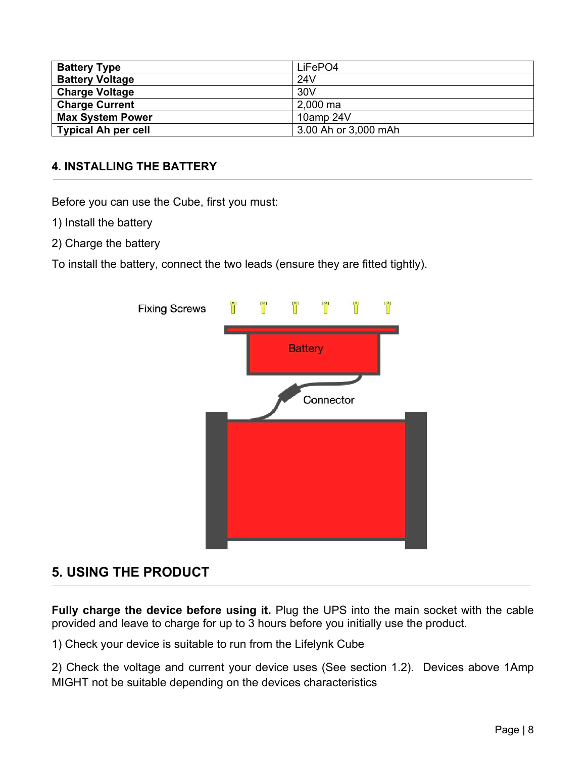| <b>Battery Type</b>        | LiFePO4              |
|----------------------------|----------------------|
| <b>Battery Voltage</b>     | 24V                  |
| <b>Charge Voltage</b>      | 30V                  |
| <b>Charge Current</b>      | 2,000 ma             |
| <b>Max System Power</b>    | 10amp 24V            |
| <b>Typical Ah per cell</b> | 3.00 Ah or 3,000 mAh |

#### **4. INSTALLING THE BATTERY**

Before you can use the Cube, first you must:

- 1) Install the battery
- 2) Charge the battery

To install the battery, connect the two leads (ensure they are fitted tightly).



## **5. USING THE PRODUCT**

**Fully charge the device before using it.** Plug the UPS into the main socket with the cable provided and leave to charge for up to 3 hours before you initially use the product.

1) Check your device is suitable to run from the Lifelynk Cube

2) Check the voltage and current your device uses (See section 1.2). Devices above 1Amp MIGHT not be suitable depending on the devices characteristics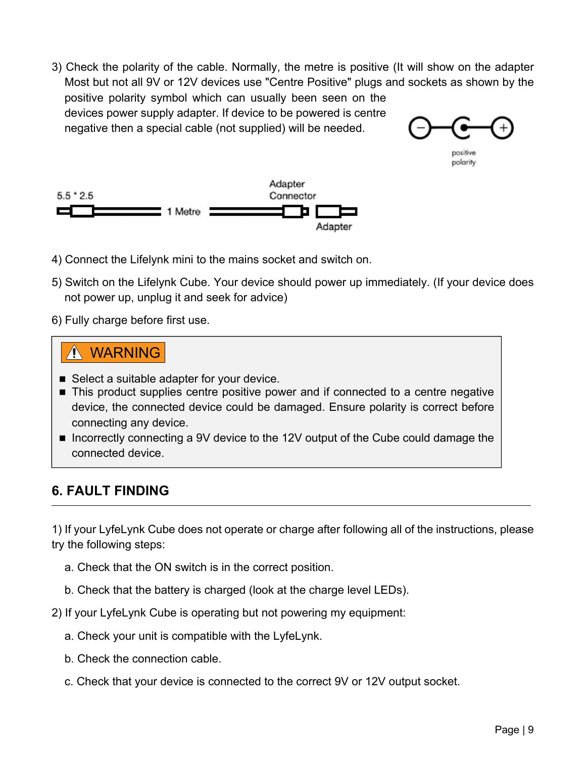3) Check the polarity of the cable. Normally, the metre is positive (It will show on the adapter Most but not all 9V or 12V devices use "Centre Positive" plugs and sockets as shown by the positive polarity symbol which can usually been seen on the devices power supply adapter. If device to be powered is centre negative then a special cable (not supplied) will be needed.



polarity



- 4) Connect the Lifelynk mini to the mains socket and switch on.
- 5) Switch on the Lifelynk Cube. Your device should power up immediately. (If your device does not power up, unplug it and seek for advice)
- 6) Fully charge before first use.

## WARNING

- Select a suitable adapter for your device.
- This product supplies centre positive power and if connected to a centre negative device, the connected device could be damaged. Ensure polarity is correct before connecting any device.
- Incorrectly connecting a 9V device to the 12V output of the Cube could damage the connected device.

## **6. FAULT FINDING**

1) If your LyfeLynk Cube does not operate or charge after following all of the instructions, please try the following steps:

- a. Check that the ON switch is in the correct position.
- b. Check that the battery is charged (look at the charge level LEDs).
- 2) If your LyfeLynk Cube is operating but not powering my equipment:
	- a. Check your unit is compatible with the LyfeLynk.
	- b. Check the connection cable.
	- c. Check that your device is connected to the correct 9V or 12V output socket.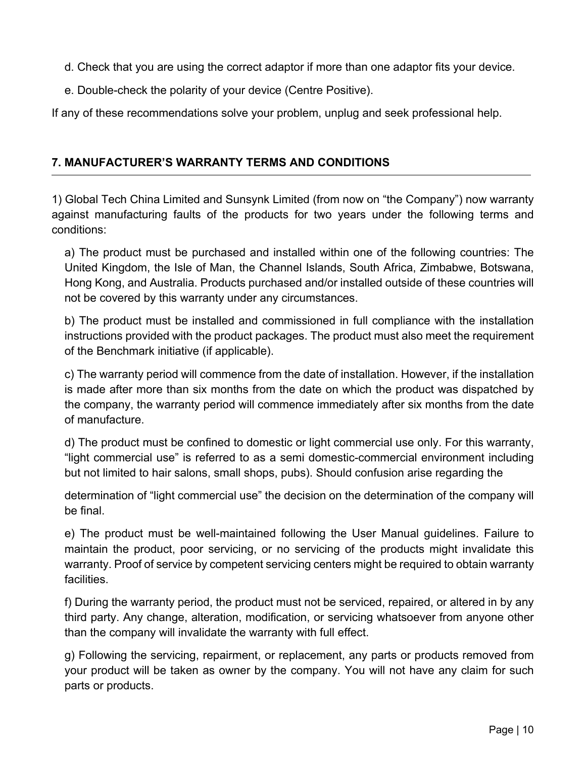- d. Check that you are using the correct adaptor if more than one adaptor fits your device.
- e. Double-check the polarity of your device (Centre Positive).

If any of these recommendations solve your problem, unplug and seek professional help.

#### **7. MANUFACTURER'S WARRANTY TERMS AND CONDITIONS**

1) Global Tech China Limited and Sunsynk Limited (from now on "the Company") now warranty against manufacturing faults of the products for two years under the following terms and conditions:

a) The product must be purchased and installed within one of the following countries: The United Kingdom, the Isle of Man, the Channel Islands, South Africa, Zimbabwe, Botswana, Hong Kong, and Australia. Products purchased and/or installed outside of these countries will not be covered by this warranty under any circumstances.

b) The product must be installed and commissioned in full compliance with the installation instructions provided with the product packages. The product must also meet the requirement of the Benchmark initiative (if applicable).

c) The warranty period will commence from the date of installation. However, if the installation is made after more than six months from the date on which the product was dispatched by the company, the warranty period will commence immediately after six months from the date of manufacture.

d) The product must be confined to domestic or light commercial use only. For this warranty, "light commercial use" is referred to as a semi domestic-commercial environment including but not limited to hair salons, small shops, pubs). Should confusion arise regarding the

determination of "light commercial use" the decision on the determination of the company will be final.

e) The product must be well-maintained following the User Manual guidelines. Failure to maintain the product, poor servicing, or no servicing of the products might invalidate this warranty. Proof of service by competent servicing centers might be required to obtain warranty facilities.

f) During the warranty period, the product must not be serviced, repaired, or altered in by any third party. Any change, alteration, modification, or servicing whatsoever from anyone other than the company will invalidate the warranty with full effect.

g) Following the servicing, repairment, or replacement, any parts or products removed from your product will be taken as owner by the company. You will not have any claim for such parts or products.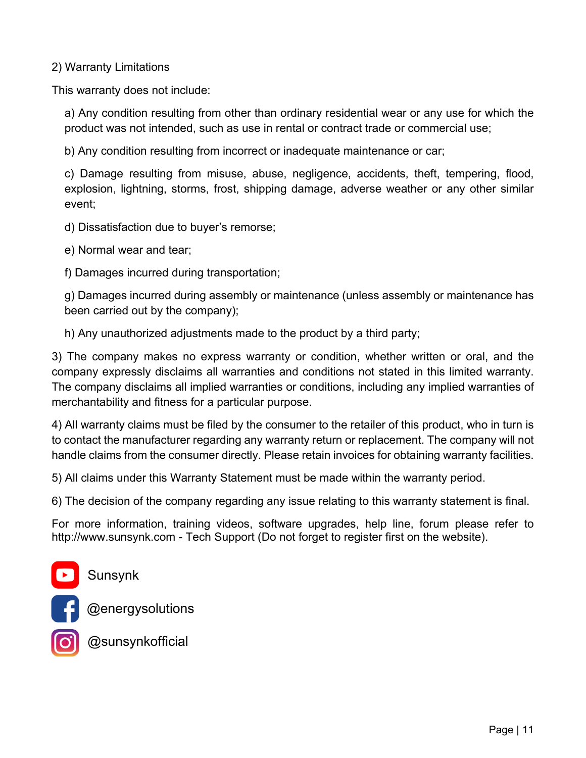2) Warranty Limitations

This warranty does not include:

a) Any condition resulting from other than ordinary residential wear or any use for which the product was not intended, such as use in rental or contract trade or commercial use;

b) Any condition resulting from incorrect or inadequate maintenance or car;

c) Damage resulting from misuse, abuse, negligence, accidents, theft, tempering, flood, explosion, lightning, storms, frost, shipping damage, adverse weather or any other similar event;

d) Dissatisfaction due to buyer's remorse;

e) Normal wear and tear;

f) Damages incurred during transportation;

g) Damages incurred during assembly or maintenance (unless assembly or maintenance has been carried out by the company);

h) Any unauthorized adjustments made to the product by a third party;

3) The company makes no express warranty or condition, whether written or oral, and the company expressly disclaims all warranties and conditions not stated in this limited warranty. The company disclaims all implied warranties or conditions, including any implied warranties of merchantability and fitness for a particular purpose.

4) All warranty claims must be filed by the consumer to the retailer of this product, who in turn is to contact the manufacturer regarding any warranty return or replacement. The company will not handle claims from the consumer directly. Please retain invoices for obtaining warranty facilities.

5) All claims under this Warranty Statement must be made within the warranty period.

6) The decision of the company regarding any issue relating to this warranty statement is final.

For more information, training videos, software upgrades, help line, forum please refer to http://www.sunsynk.com - Tech Support (Do not forget to register first on the website).



@energysolutions



**@sunsynkofficial**